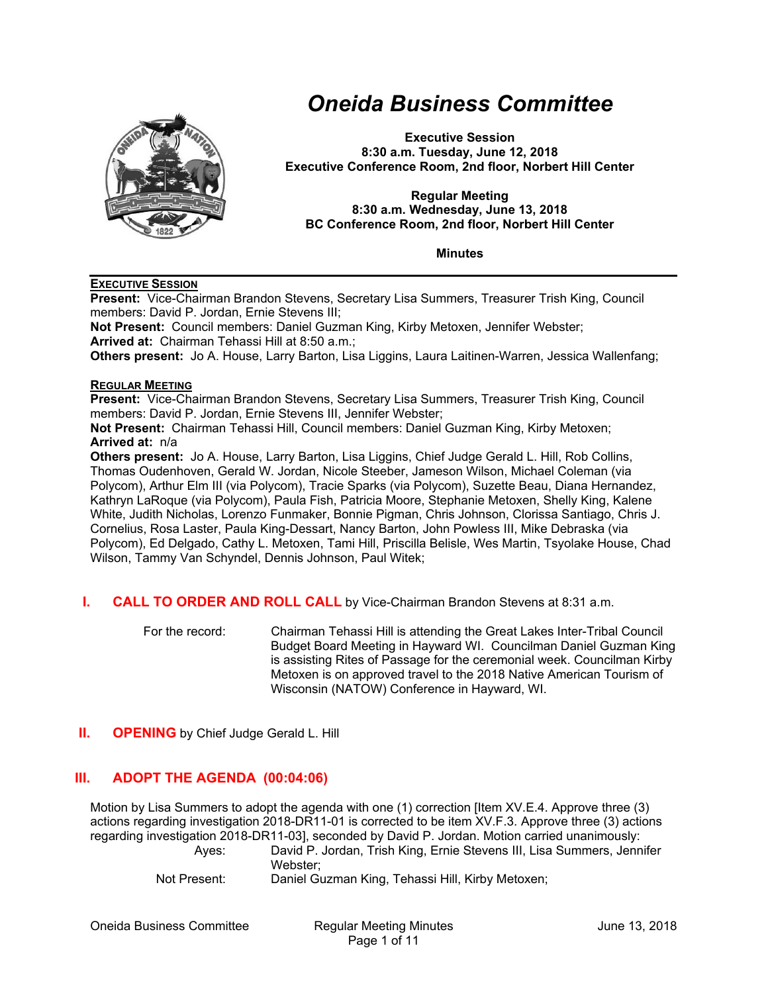

# *Oneida Business Committee*

**Executive Session 8:30 a.m. Tuesday, June 12, 2018 Executive Conference Room, 2nd floor, Norbert Hill Center** 

#### **Regular Meeting 8:30 a.m. Wednesday, June 13, 2018 BC Conference Room, 2nd floor, Norbert Hill Center**

**Minutes** 

## **EXECUTIVE SESSION**

**Present:** Vice-Chairman Brandon Stevens, Secretary Lisa Summers, Treasurer Trish King, Council members: David P. Jordan, Ernie Stevens III; **Not Present:** Council members: Daniel Guzman King, Kirby Metoxen, Jennifer Webster; **Arrived at:** Chairman Tehassi Hill at 8:50 a.m.; **Others present:** Jo A. House, Larry Barton, Lisa Liggins, Laura Laitinen-Warren, Jessica Wallenfang;

#### **REGULAR MEETING**

**Present:** Vice-Chairman Brandon Stevens, Secretary Lisa Summers, Treasurer Trish King, Council members: David P. Jordan, Ernie Stevens III, Jennifer Webster;

**Not Present:** Chairman Tehassi Hill, Council members: Daniel Guzman King, Kirby Metoxen; **Arrived at:** n/a

**Others present:** Jo A. House, Larry Barton, Lisa Liggins, Chief Judge Gerald L. Hill, Rob Collins, Thomas Oudenhoven, Gerald W. Jordan, Nicole Steeber, Jameson Wilson, Michael Coleman (via Polycom), Arthur Elm III (via Polycom), Tracie Sparks (via Polycom), Suzette Beau, Diana Hernandez, Kathryn LaRoque (via Polycom), Paula Fish, Patricia Moore, Stephanie Metoxen, Shelly King, Kalene White, Judith Nicholas, Lorenzo Funmaker, Bonnie Pigman, Chris Johnson, Clorissa Santiago, Chris J. Cornelius, Rosa Laster, Paula King-Dessart, Nancy Barton, John Powless III, Mike Debraska (via Polycom), Ed Delgado, Cathy L. Metoxen, Tami Hill, Priscilla Belisle, Wes Martin, Tsyolake House, Chad Wilson, Tammy Van Schyndel, Dennis Johnson, Paul Witek;

- **I. CALL TO ORDER AND ROLL CALL** by Vice-Chairman Brandon Stevens at 8:31 a.m.
	- For the record: Chairman Tehassi Hill is attending the Great Lakes Inter-Tribal Council Budget Board Meeting in Hayward WI. Councilman Daniel Guzman King is assisting Rites of Passage for the ceremonial week. Councilman Kirby Metoxen is on approved travel to the 2018 Native American Tourism of Wisconsin (NATOW) Conference in Hayward, WI.

# **II. OPENING** by Chief Judge Gerald L. Hill

# **III. ADOPT THE AGENDA (00:04:06)**

Motion by Lisa Summers to adopt the agenda with one (1) correction [Item XV.E.4. Approve three (3) actions regarding investigation 2018-DR11-01 is corrected to be item XV.F.3. Approve three (3) actions regarding investigation 2018-DR11-03], seconded by David P. Jordan. Motion carried unanimously: Ayes: David P. Jordan, Trish King, Ernie Stevens III, Lisa Summers, Jennifer

Webster; Not Present: Daniel Guzman King, Tehassi Hill, Kirby Metoxen;

Oneida Business Committee **Regular Meeting Minutes** June 13, 2018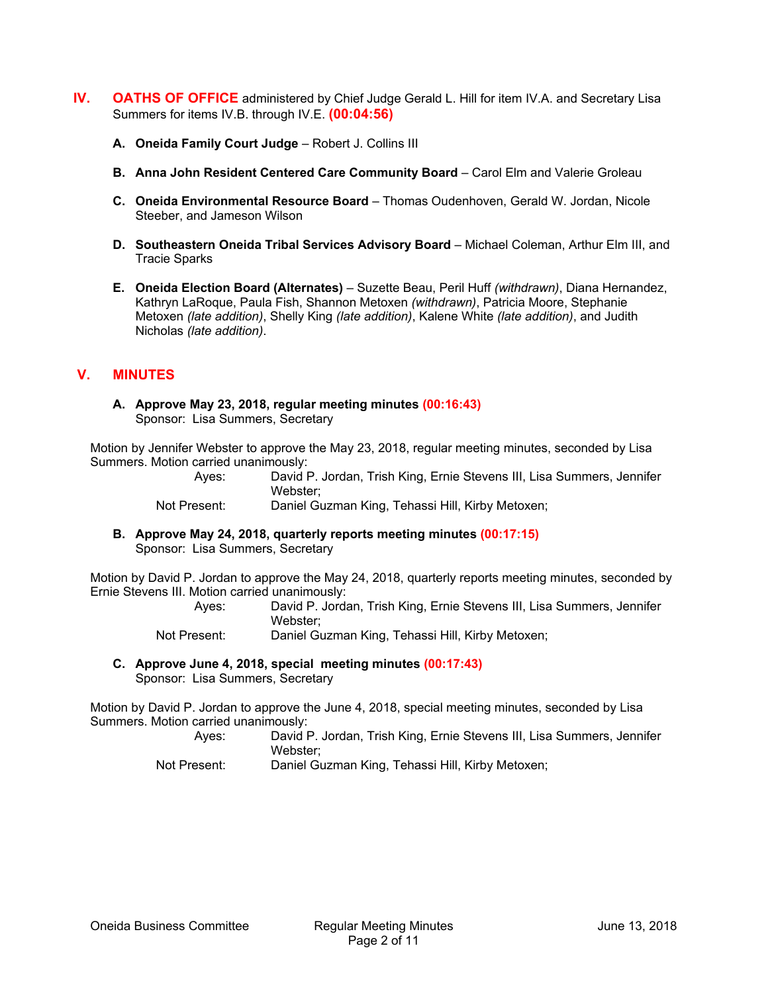- **IV.** OATHS OF OFFICE administered by Chief Judge Gerald L. Hill for item IV.A. and Secretary Lisa Summers for items IV.B. through IV.E. **(00:04:56)** 
	- **A. Oneida Family Court Judge Robert J. Collins III**
	- **B. Anna John Resident Centered Care Community Board Carol Elm and Valerie Groleau**
	- **C. Oneida Environmental Resource Board**  Thomas Oudenhoven, Gerald W. Jordan, Nicole Steeber, and Jameson Wilson
	- **D. Southeastern Oneida Tribal Services Advisory Board**  Michael Coleman, Arthur Elm III, and Tracie Sparks
	- **E. Oneida Election Board (Alternates)**  Suzette Beau, Peril Huff *(withdrawn)*, Diana Hernandez, Kathryn LaRoque, Paula Fish, Shannon Metoxen *(withdrawn)*, Patricia Moore, Stephanie Metoxen *(late addition)*, Shelly King *(late addition)*, Kalene White *(late addition)*, and Judith Nicholas *(late addition)*.

# **V. MINUTES**

**A. Approve May 23, 2018, regular meeting minutes (00:16:43)** Sponsor: Lisa Summers, Secretary

Motion by Jennifer Webster to approve the May 23, 2018, regular meeting minutes, seconded by Lisa Summers. Motion carried unanimously:

| Aves:        | David P. Jordan, Trish King, Ernie Stevens III, Lisa Summers, Jennifer |
|--------------|------------------------------------------------------------------------|
|              | Webster:                                                               |
| Not Present: | Daniel Guzman King, Tehassi Hill, Kirby Metoxen;                       |

**B. Approve May 24, 2018, quarterly reports meeting minutes (00:17:15)** Sponsor: Lisa Summers, Secretary

Motion by David P. Jordan to approve the May 24, 2018, quarterly reports meeting minutes, seconded by Ernie Stevens III. Motion carried unanimously:

> Ayes: David P. Jordan, Trish King, Ernie Stevens III, Lisa Summers, Jennifer Webster; Not Present: Daniel Guzman King, Tehassi Hill, Kirby Metoxen;

**C. Approve June 4, 2018, special meeting minutes (00:17:43)** Sponsor: Lisa Summers, Secretary

Motion by David P. Jordan to approve the June 4, 2018, special meeting minutes, seconded by Lisa Summers. Motion carried unanimously:

Ayes: David P. Jordan, Trish King, Ernie Stevens III, Lisa Summers, Jennifer Webster; Not Present: Daniel Guzman King, Tehassi Hill, Kirby Metoxen;

Oneida Business Committee **Regular Meeting Minutes** June 13, 2018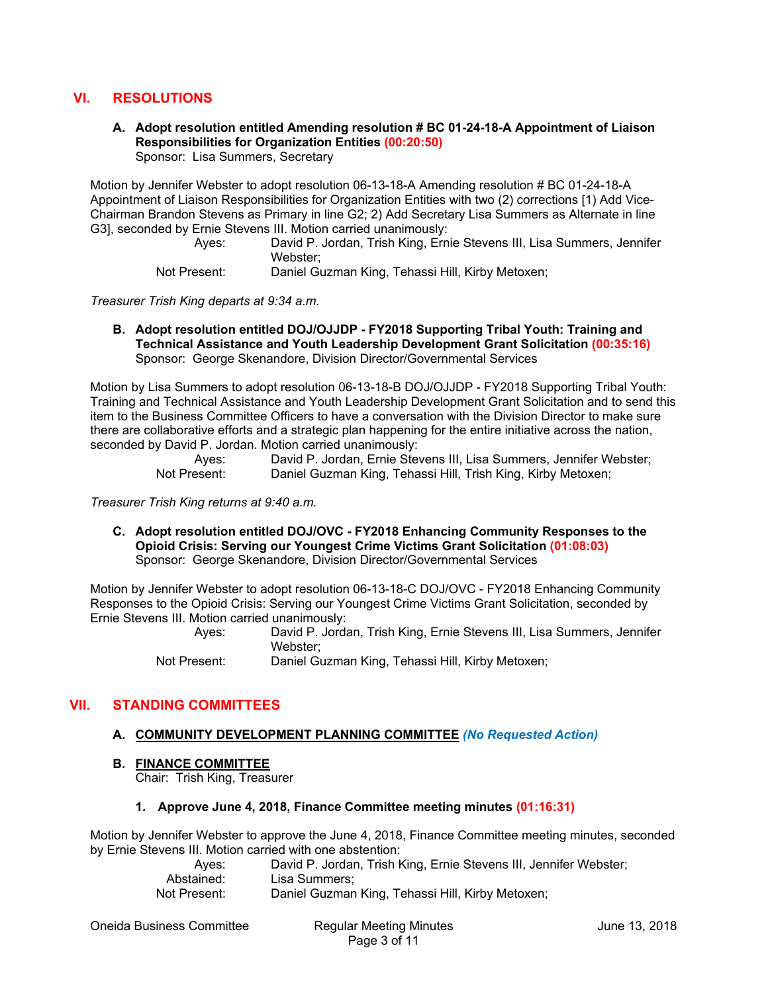# **VI. RESOLUTIONS**

#### **A. Adopt resolution entitled Amending resolution # BC 01-24-18-A Appointment of Liaison Responsibilities for Organization Entities (00:20:50)** Sponsor: Lisa Summers, Secretary

Motion by Jennifer Webster to adopt resolution 06-13-18-A Amending resolution # BC 01-24-18-A Appointment of Liaison Responsibilities for Organization Entities with two (2) corrections [1) Add Vice-Chairman Brandon Stevens as Primary in line G2; 2) Add Secretary Lisa Summers as Alternate in line G3], seconded by Ernie Stevens III. Motion carried unanimously:

Ayes: David P. Jordan, Trish King, Ernie Stevens III, Lisa Summers, Jennifer Webster;

Not Present: Daniel Guzman King, Tehassi Hill, Kirby Metoxen;

*Treasurer Trish King departs at 9:34 a.m.* 

**B. Adopt resolution entitled DOJ/OJJDP - FY2018 Supporting Tribal Youth: Training and Technical Assistance and Youth Leadership Development Grant Solicitation (00:35:16)** Sponsor: George Skenandore, Division Director/Governmental Services

Motion by Lisa Summers to adopt resolution 06-13-18-B DOJ/OJJDP - FY2018 Supporting Tribal Youth: Training and Technical Assistance and Youth Leadership Development Grant Solicitation and to send this item to the Business Committee Officers to have a conversation with the Division Director to make sure there are collaborative efforts and a strategic plan happening for the entire initiative across the nation, seconded by David P. Jordan. Motion carried unanimously:

| Aves:        | David P. Jordan, Ernie Stevens III, Lisa Summers, Jennifer Webster; |
|--------------|---------------------------------------------------------------------|
| Not Present: | Daniel Guzman King, Tehassi Hill, Trish King, Kirby Metoxen;        |

*Treasurer Trish King returns at 9:40 a.m.* 

**C. Adopt resolution entitled DOJ/OVC - FY2018 Enhancing Community Responses to the Opioid Crisis: Serving our Youngest Crime Victims Grant Solicitation (01:08:03)** Sponsor: George Skenandore, Division Director/Governmental Services

Motion by Jennifer Webster to adopt resolution 06-13-18-C DOJ/OVC - FY2018 Enhancing Community Responses to the Opioid Crisis: Serving our Youngest Crime Victims Grant Solicitation, seconded by Ernie Stevens III. Motion carried unanimously:

Ayes: David P. Jordan, Trish King, Ernie Stevens III, Lisa Summers, Jennifer Webster; Not Present: Daniel Guzman King, Tehassi Hill, Kirby Metoxen;

## **VII. STANDING COMMITTEES**

## **A. COMMUNITY DEVELOPMENT PLANNING COMMITTEE** *(No Requested Action)*

#### **B. FINANCE COMMITTEE**

Chair: Trish King, Treasurer

#### **1. Approve June 4, 2018, Finance Committee meeting minutes (01:16:31)**

Motion by Jennifer Webster to approve the June 4, 2018, Finance Committee meeting minutes, seconded by Ernie Stevens III. Motion carried with one abstention:

| Aves:        | David P. Jordan, Trish King, Ernie Stevens III, Jennifer Webster; |
|--------------|-------------------------------------------------------------------|
| Abstained:   | Lisa Summers:                                                     |
| Not Present: | Daniel Guzman King, Tehassi Hill, Kirby Metoxen;                  |

Oneida Business Committee **Regular Meeting Minutes** June 13, 2018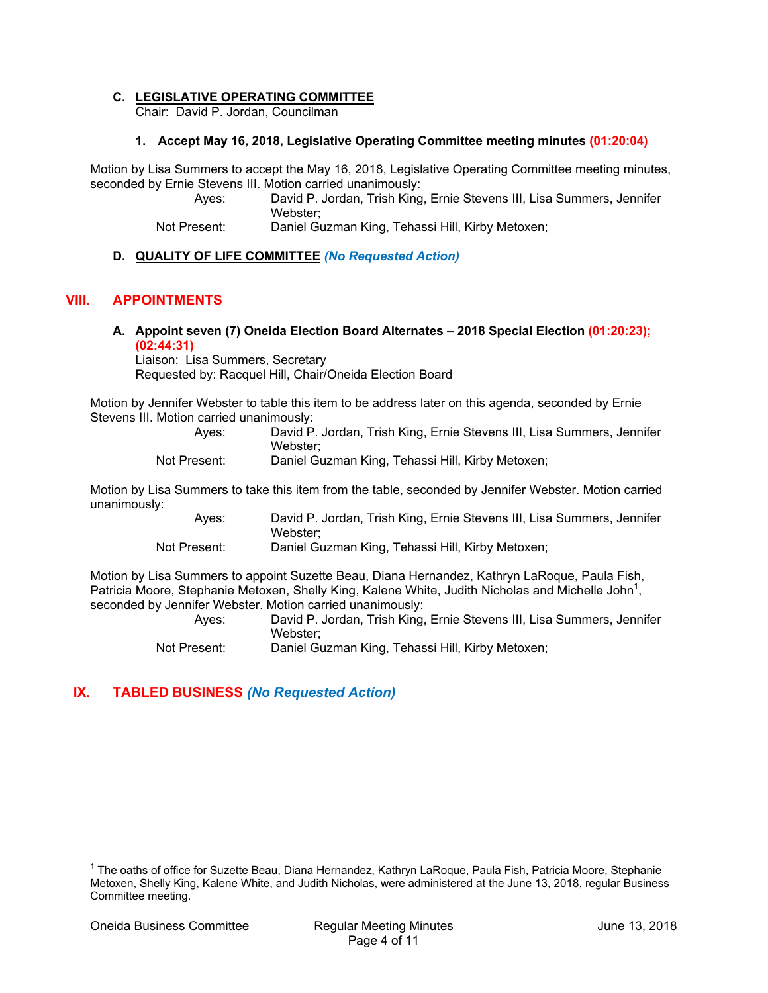## **C. LEGISLATIVE OPERATING COMMITTEE**

Chair: David P. Jordan, Councilman

#### **1. Accept May 16, 2018, Legislative Operating Committee meeting minutes (01:20:04)**

Motion by Lisa Summers to accept the May 16, 2018, Legislative Operating Committee meeting minutes, seconded by Ernie Stevens III. Motion carried unanimously:

Ayes: David P. Jordan, Trish King, Ernie Stevens III, Lisa Summers, Jennifer Webster;

Not Present: Daniel Guzman King, Tehassi Hill, Kirby Metoxen;

## **D. QUALITY OF LIFE COMMITTEE** *(No Requested Action)*

## **VIII. APPOINTMENTS**

**A. Appoint seven (7) Oneida Election Board Alternates – 2018 Special Election (01:20:23); (02:44:31)**

Liaison: Lisa Summers, Secretary Requested by: Racquel Hill, Chair/Oneida Election Board

Motion by Jennifer Webster to table this item to be address later on this agenda, seconded by Ernie Stevens III. Motion carried unanimously:

|   | Ayes: | David P. Jordan, Trish King, Ernie Stevens III, Lisa Summers, Jennifer |
|---|-------|------------------------------------------------------------------------|
|   |       | Webster:                                                               |
| . |       |                                                                        |

Not Present: Daniel Guzman King, Tehassi Hill, Kirby Metoxen;

Motion by Lisa Summers to take this item from the table, seconded by Jennifer Webster. Motion carried unanimously:

| Ayes:                | David P. Jordan, Trish King, Ernie Stevens III, Lisa Summers, Jennifer |
|----------------------|------------------------------------------------------------------------|
|                      | Webster:                                                               |
| 1. Province and a 1. | Decial Oceanics 175.5 Teleseart 1191 175.5 Materials                   |

Not Present: Daniel Guzman King, Tehassi Hill, Kirby Metoxen;

Motion by Lisa Summers to appoint Suzette Beau, Diana Hernandez, Kathryn LaRoque, Paula Fish, Patricia Moore, Stephanie Metoxen, Shelly King, Kalene White, Judith Nicholas and Michelle John<sup>1</sup>, seconded by Jennifer Webster. Motion carried unanimously:

| Aves:        | David P. Jordan, Trish King, Ernie Stevens III, Lisa Summers, Jennifer<br>Webster: |
|--------------|------------------------------------------------------------------------------------|
| Not Present: | Daniel Guzman King, Tehassi Hill, Kirby Metoxen;                                   |

# **IX. TABLED BUSINESS** *(No Requested Action)*

 $\overline{a}$ 

<sup>&</sup>lt;sup>1</sup> The oaths of office for Suzette Beau, Diana Hernandez, Kathryn LaRoque, Paula Fish, Patricia Moore, Stephanie Metoxen, Shelly King, Kalene White, and Judith Nicholas, were administered at the June 13, 2018, regular Business Committee meeting.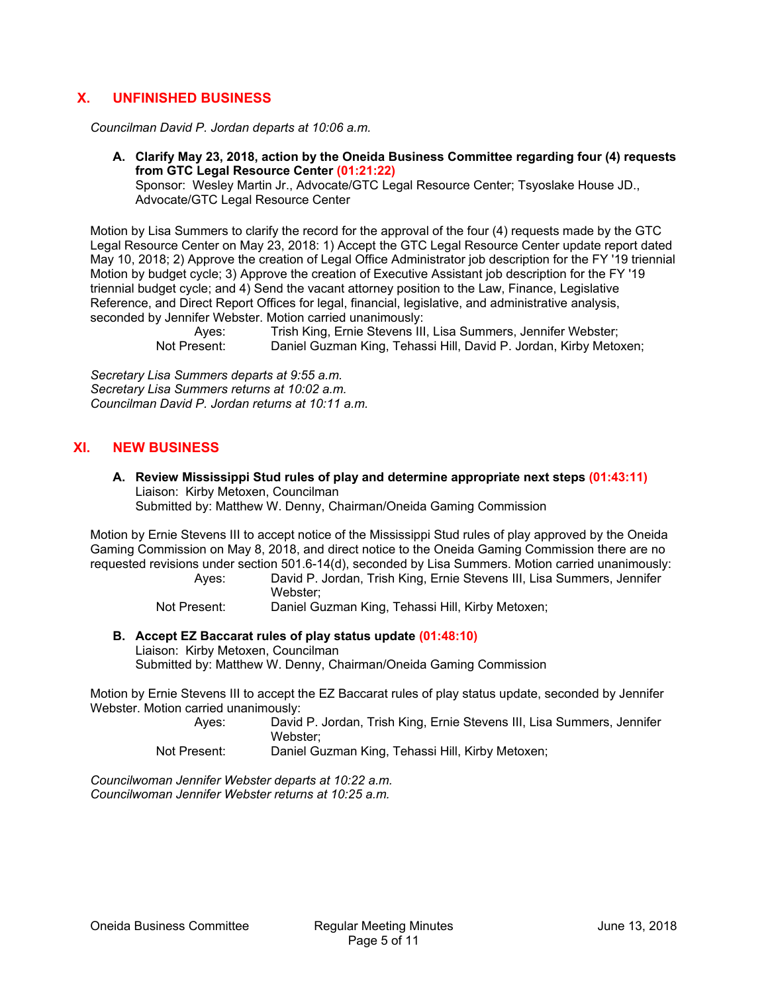# **X. UNFINISHED BUSINESS**

*Councilman David P. Jordan departs at 10:06 a.m.* 

**A. Clarify May 23, 2018, action by the Oneida Business Committee regarding four (4) requests from GTC Legal Resource Center (01:21:22)**

Sponsor: Wesley Martin Jr., Advocate/GTC Legal Resource Center; Tsyoslake House JD., Advocate/GTC Legal Resource Center

Motion by Lisa Summers to clarify the record for the approval of the four (4) requests made by the GTC Legal Resource Center on May 23, 2018: 1) Accept the GTC Legal Resource Center update report dated May 10, 2018; 2) Approve the creation of Legal Office Administrator job description for the FY '19 triennial Motion by budget cycle; 3) Approve the creation of Executive Assistant job description for the FY '19 triennial budget cycle; and 4) Send the vacant attorney position to the Law, Finance, Legislative Reference, and Direct Report Offices for legal, financial, legislative, and administrative analysis, seconded by Jennifer Webster. Motion carried unanimously:

Trish King, Ernie Stevens III, Lisa Summers, Jennifer Webster; Not Present: Daniel Guzman King, Tehassi Hill, David P. Jordan, Kirby Metoxen;

*Secretary Lisa Summers departs at 9:55 a.m. Secretary Lisa Summers returns at 10:02 a.m. Councilman David P. Jordan returns at 10:11 a.m.* 

## **XI. NEW BUSINESS**

**A. Review Mississippi Stud rules of play and determine appropriate next steps (01:43:11)** Liaison: Kirby Metoxen, Councilman Submitted by: Matthew W. Denny, Chairman/Oneida Gaming Commission

Motion by Ernie Stevens III to accept notice of the Mississippi Stud rules of play approved by the Oneida Gaming Commission on May 8, 2018, and direct notice to the Oneida Gaming Commission there are no requested revisions under section 501.6-14(d), seconded by Lisa Summers. Motion carried unanimously:

Ayes: David P. Jordan, Trish King, Ernie Stevens III, Lisa Summers, Jennifer Webster;

Not Present: Daniel Guzman King, Tehassi Hill, Kirby Metoxen;

#### **B. Accept EZ Baccarat rules of play status update (01:48:10)**

Liaison: Kirby Metoxen, Councilman Submitted by: Matthew W. Denny, Chairman/Oneida Gaming Commission

Motion by Ernie Stevens III to accept the EZ Baccarat rules of play status update, seconded by Jennifer Webster. Motion carried unanimously:

Ayes: David P. Jordan, Trish King, Ernie Stevens III, Lisa Summers, Jennifer Webster;

Not Present: Daniel Guzman King, Tehassi Hill, Kirby Metoxen;

*Councilwoman Jennifer Webster departs at 10:22 a.m. Councilwoman Jennifer Webster returns at 10:25 a.m.*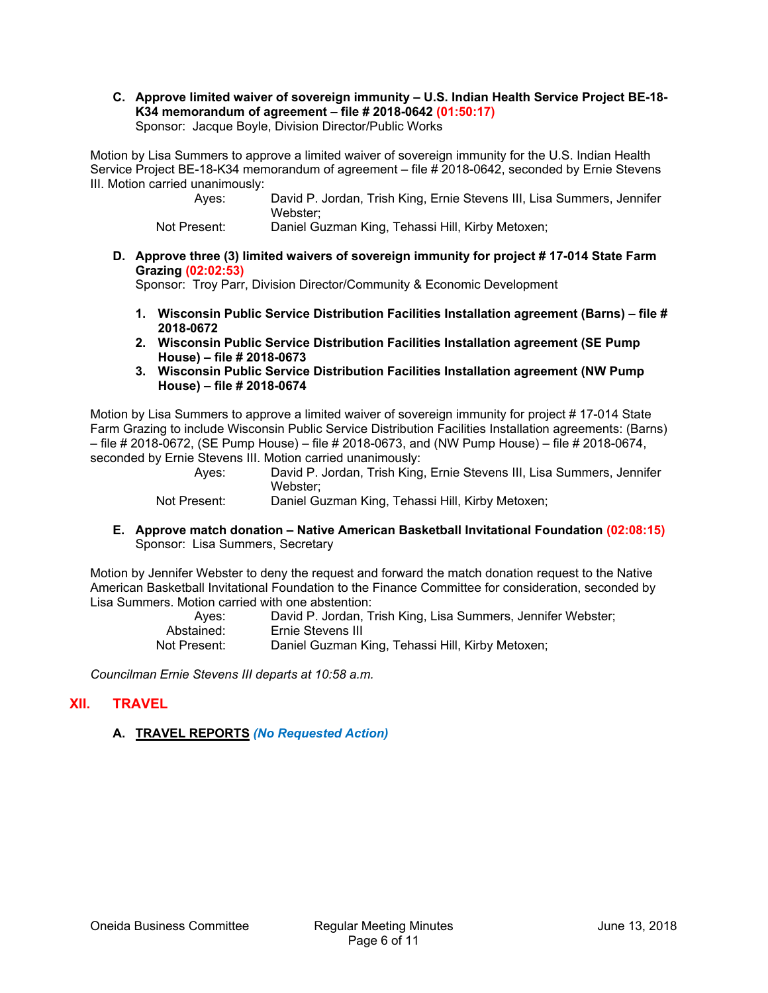**C. Approve limited waiver of sovereign immunity – U.S. Indian Health Service Project BE-18- K34 memorandum of agreement – file # 2018-0642 (01:50:17)** Sponsor: Jacque Boyle, Division Director/Public Works

Motion by Lisa Summers to approve a limited waiver of sovereign immunity for the U.S. Indian Health Service Project BE-18-K34 memorandum of agreement – file # 2018-0642, seconded by Ernie Stevens III. Motion carried unanimously:

> Ayes: David P. Jordan, Trish King, Ernie Stevens III, Lisa Summers, Jennifer Webster;

Not Present: Daniel Guzman King, Tehassi Hill, Kirby Metoxen;

**D. Approve three (3) limited waivers of sovereign immunity for project # 17-014 State Farm Grazing (02:02:53)**

Sponsor: Troy Parr, Division Director/Community & Economic Development

- **1. Wisconsin Public Service Distribution Facilities Installation agreement (Barns) file # 2018-0672**
- **2. Wisconsin Public Service Distribution Facilities Installation agreement (SE Pump House) – file # 2018-0673**
- **3. Wisconsin Public Service Distribution Facilities Installation agreement (NW Pump House) – file # 2018-0674**

Motion by Lisa Summers to approve a limited waiver of sovereign immunity for project # 17-014 State Farm Grazing to include Wisconsin Public Service Distribution Facilities Installation agreements: (Barns) – file # 2018-0672, (SE Pump House) – file # 2018-0673, and (NW Pump House) – file # 2018-0674, seconded by Ernie Stevens III. Motion carried unanimously:

| Aves:                   | David P. Jordan, Trish King, Ernie Stevens III, Lisa Summers, Jennifer                         |
|-------------------------|------------------------------------------------------------------------------------------------|
|                         | Webster:                                                                                       |
| <b>Allet Providents</b> | ■ - - - - - I △ - --- - - - - I /' - - 〒 - I - - - - ' I I'll - I /'I. - N 4 - I - - - - - - - |

Not Present: Daniel Guzman King, Tehassi Hill, Kirby Metoxen;

**E. Approve match donation – Native American Basketball Invitational Foundation (02:08:15)** Sponsor: Lisa Summers, Secretary

Motion by Jennifer Webster to deny the request and forward the match donation request to the Native American Basketball Invitational Foundation to the Finance Committee for consideration, seconded by Lisa Summers. Motion carried with one abstention:

| Aves:        | David P. Jordan, Trish King, Lisa Summers, Jennifer Webster; |
|--------------|--------------------------------------------------------------|
| Abstained:   | Ernie Stevens III                                            |
| Not Present: | Daniel Guzman King, Tehassi Hill, Kirby Metoxen;             |

*Councilman Ernie Stevens III departs at 10:58 a.m.* 

## **XII. TRAVEL**

## **A. TRAVEL REPORTS** *(No Requested Action)*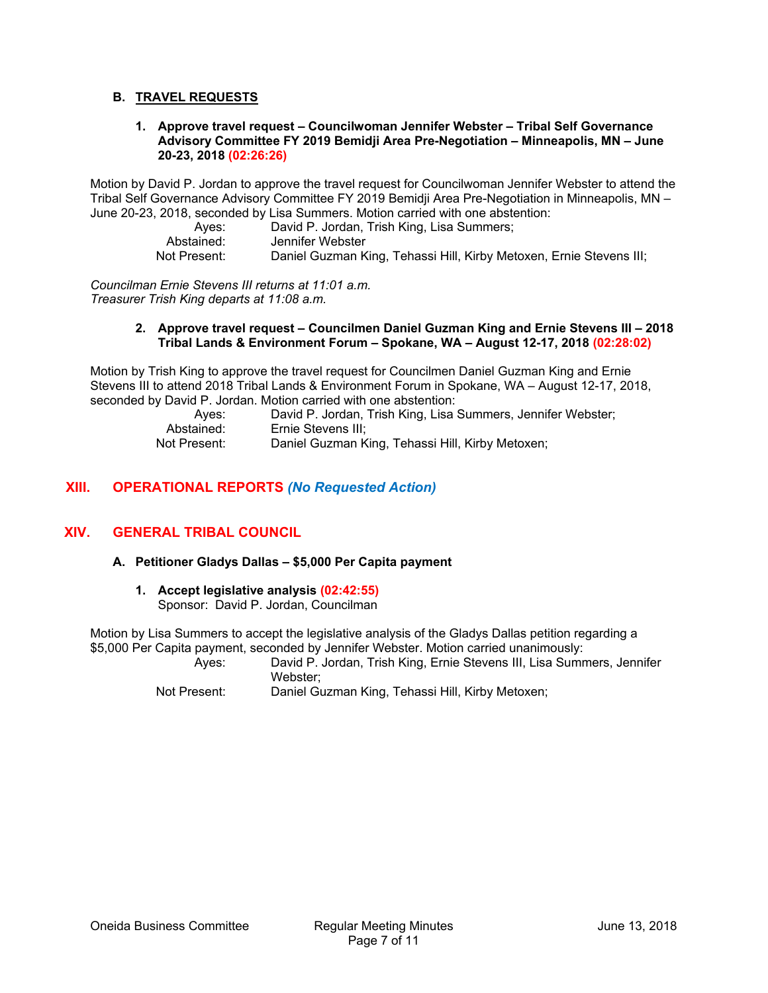## **B. TRAVEL REQUESTS**

**1. Approve travel request – Councilwoman Jennifer Webster – Tribal Self Governance Advisory Committee FY 2019 Bemidji Area Pre-Negotiation – Minneapolis, MN – June 20-23, 2018 (02:26:26)**

Motion by David P. Jordan to approve the travel request for Councilwoman Jennifer Webster to attend the Tribal Self Governance Advisory Committee FY 2019 Bemidji Area Pre-Negotiation in Minneapolis, MN – June 20-23, 2018, seconded by Lisa Summers. Motion carried with one abstention:

Ayes: David P. Jordan, Trish King, Lisa Summers; Abstained: Jennifer Webster<br>Not Present: Daniel Guzman K Daniel Guzman King, Tehassi Hill, Kirby Metoxen, Ernie Stevens III;

*Councilman Ernie Stevens III returns at 11:01 a.m. Treasurer Trish King departs at 11:08 a.m.* 

#### **2. Approve travel request – Councilmen Daniel Guzman King and Ernie Stevens III – 2018 Tribal Lands & Environment Forum – Spokane, WA – August 12-17, 2018 (02:28:02)**

Motion by Trish King to approve the travel request for Councilmen Daniel Guzman King and Ernie Stevens III to attend 2018 Tribal Lands & Environment Forum in Spokane, WA – August 12-17, 2018, seconded by David P. Jordan. Motion carried with one abstention:

Ayes: David P. Jordan, Trish King, Lisa Summers, Jennifer Webster;<br>Abstained: Ernie Stevens III: Ernie Stevens III: Not Present: Daniel Guzman King, Tehassi Hill, Kirby Metoxen;

# **XIII. OPERATIONAL REPORTS** *(No Requested Action)*

## **XIV. GENERAL TRIBAL COUNCIL**

#### **A. Petitioner Gladys Dallas – \$5,000 Per Capita payment**

**1. Accept legislative analysis (02:42:55)** Sponsor: David P. Jordan, Councilman

Motion by Lisa Summers to accept the legislative analysis of the Gladys Dallas petition regarding a \$5,000 Per Capita payment, seconded by Jennifer Webster. Motion carried unanimously:

Ayes: David P. Jordan, Trish King, Ernie Stevens III, Lisa Summers, Jennifer Webster;

Not Present: Daniel Guzman King, Tehassi Hill, Kirby Metoxen;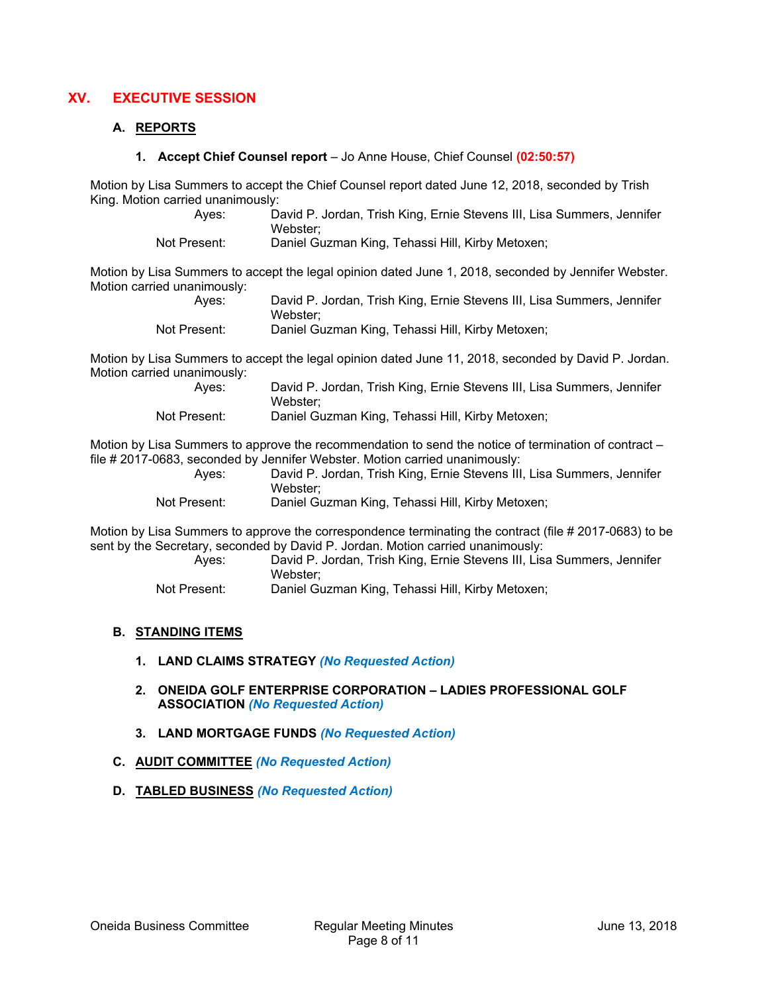# **XV. EXECUTIVE SESSION**

#### **A. REPORTS**

**1. Accept Chief Counsel report** – Jo Anne House, Chief Counsel **(02:50:57)**

Motion by Lisa Summers to accept the Chief Counsel report dated June 12, 2018, seconded by Trish King. Motion carried unanimously:

| Aves:        | David P. Jordan, Trish King, Ernie Stevens III, Lisa Summers, Jennifer |
|--------------|------------------------------------------------------------------------|
|              | Webster:                                                               |
| Not Present: | Daniel Guzman King, Tehassi Hill, Kirby Metoxen;                       |

Motion by Lisa Summers to accept the legal opinion dated June 1, 2018, seconded by Jennifer Webster. Motion carried unanimously:

| Aves:        | David P. Jordan, Trish King, Ernie Stevens III, Lisa Summers, Jennifer |
|--------------|------------------------------------------------------------------------|
|              | Webster:                                                               |
| Not Present: | Daniel Guzman King, Tehassi Hill, Kirby Metoxen;                       |

Motion by Lisa Summers to accept the legal opinion dated June 11, 2018, seconded by David P. Jordan. Motion carried unanimously:

| Aves:        | David P. Jordan, Trish King, Ernie Stevens III, Lisa Summers, Jennifer |
|--------------|------------------------------------------------------------------------|
|              | Webster:                                                               |
| Not Present: | Daniel Guzman King, Tehassi Hill, Kirby Metoxen;                       |

Motion by Lisa Summers to approve the recommendation to send the notice of termination of contract – file # 2017-0683, seconded by Jennifer Webster. Motion carried unanimously:

| Aves:       | David P. Jordan, Trish King, Ernie Stevens III, Lisa Summers, Jennifer                    |
|-------------|-------------------------------------------------------------------------------------------|
|             | Webster:                                                                                  |
| Net Dansall | $\mathsf{D}$ asial $\mathsf{O}$ umasan 145an $\mathsf{Table2}$ alaasi 1130 145an Mataugay |

Not Present: Daniel Guzman King, Tehassi Hill, Kirby Metoxen;

Motion by Lisa Summers to approve the correspondence terminating the contract (file # 2017-0683) to be sent by the Secretary, seconded by David P. Jordan. Motion carried unanimously:

| Aves:          | David P. Jordan, Trish King, Ernie Stevens III, Lisa Summers, Jennifer |
|----------------|------------------------------------------------------------------------|
|                | Webster:                                                               |
| $\blacksquare$ |                                                                        |

Not Present: Daniel Guzman King, Tehassi Hill, Kirby Metoxen;

#### **B. STANDING ITEMS**

- **1. LAND CLAIMS STRATEGY** *(No Requested Action)*
- **2. ONEIDA GOLF ENTERPRISE CORPORATION LADIES PROFESSIONAL GOLF ASSOCIATION** *(No Requested Action)*
- **3. LAND MORTGAGE FUNDS** *(No Requested Action)*

#### **C. AUDIT COMMITTEE** *(No Requested Action)*

**D. TABLED BUSINESS** *(No Requested Action)*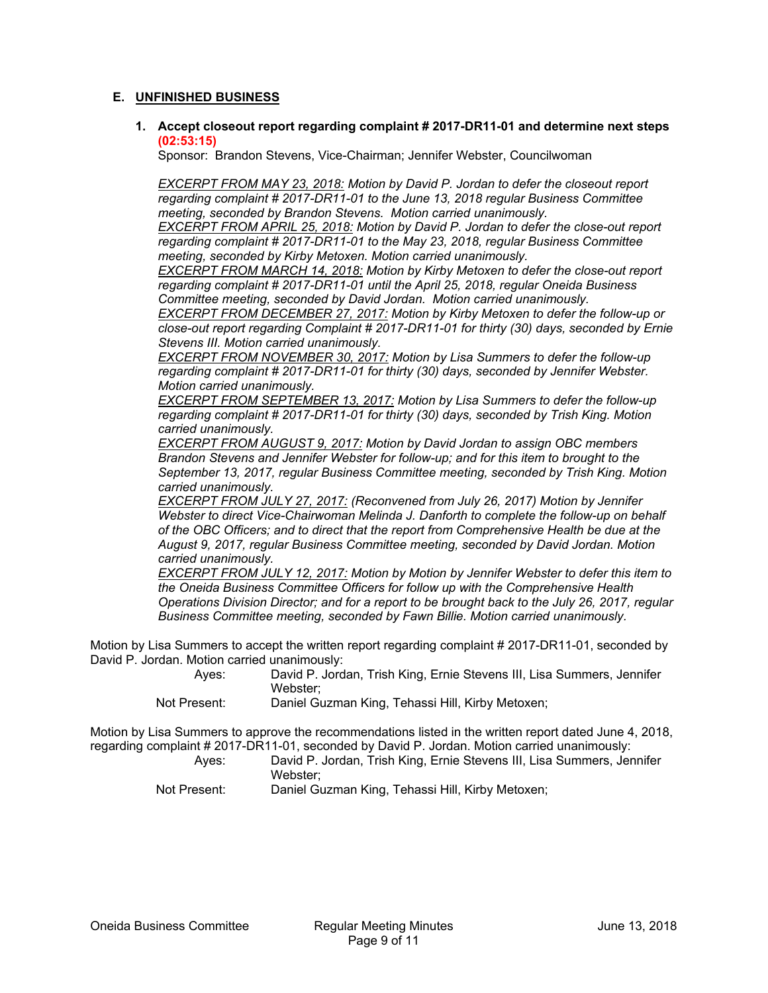## **E. UNFINISHED BUSINESS**

**1. Accept closeout report regarding complaint # 2017-DR11-01 and determine next steps (02:53:15)**

Sponsor: Brandon Stevens, Vice-Chairman; Jennifer Webster, Councilwoman

*EXCERPT FROM MAY 23, 2018: Motion by David P. Jordan to defer the closeout report regarding complaint # 2017-DR11-01 to the June 13, 2018 regular Business Committee meeting, seconded by Brandon Stevens. Motion carried unanimously.* 

*EXCERPT FROM APRIL 25, 2018: Motion by David P. Jordan to defer the close-out report regarding complaint # 2017-DR11-01 to the May 23, 2018, regular Business Committee meeting, seconded by Kirby Metoxen. Motion carried unanimously.* 

*EXCERPT FROM MARCH 14, 2018: Motion by Kirby Metoxen to defer the close-out report regarding complaint # 2017-DR11-01 until the April 25, 2018, regular Oneida Business Committee meeting, seconded by David Jordan. Motion carried unanimously.* 

*EXCERPT FROM DECEMBER 27, 2017: Motion by Kirby Metoxen to defer the follow-up or close-out report regarding Complaint # 2017-DR11-01 for thirty (30) days, seconded by Ernie Stevens III. Motion carried unanimously.* 

*EXCERPT FROM NOVEMBER 30, 2017: Motion by Lisa Summers to defer the follow-up regarding complaint # 2017-DR11-01 for thirty (30) days, seconded by Jennifer Webster. Motion carried unanimously.* 

*EXCERPT FROM SEPTEMBER 13, 2017: Motion by Lisa Summers to defer the follow-up regarding complaint # 2017-DR11-01 for thirty (30) days, seconded by Trish King. Motion carried unanimously.* 

*EXCERPT FROM AUGUST 9, 2017: Motion by David Jordan to assign OBC members Brandon Stevens and Jennifer Webster for follow-up; and for this item to brought to the September 13, 2017, regular Business Committee meeting, seconded by Trish King. Motion carried unanimously.* 

*EXCERPT FROM JULY 27, 2017: (Reconvened from July 26, 2017) Motion by Jennifer Webster to direct Vice-Chairwoman Melinda J. Danforth to complete the follow-up on behalf of the OBC Officers; and to direct that the report from Comprehensive Health be due at the August 9, 2017, regular Business Committee meeting, seconded by David Jordan. Motion carried unanimously.* 

*EXCERPT FROM JULY 12, 2017: Motion by Motion by Jennifer Webster to defer this item to the Oneida Business Committee Officers for follow up with the Comprehensive Health Operations Division Director; and for a report to be brought back to the July 26, 2017, regular Business Committee meeting, seconded by Fawn Billie. Motion carried unanimously.* 

Motion by Lisa Summers to accept the written report regarding complaint # 2017-DR11-01, seconded by David P. Jordan. Motion carried unanimously:

| Aves: | David P. Jordan, Trish King, Ernie Stevens III, Lisa Summers, Jennifer |
|-------|------------------------------------------------------------------------|
|       | Webster:                                                               |
| .     |                                                                        |

Not Present: Daniel Guzman King, Tehassi Hill, Kirby Metoxen;

Motion by Lisa Summers to approve the recommendations listed in the written report dated June 4, 2018, regarding complaint # 2017-DR11-01, seconded by David P. Jordan. Motion carried unanimously:

| Aves:        | David P. Jordan, Trish King, Ernie Stevens III, Lisa Summers, Jennifer |
|--------------|------------------------------------------------------------------------|
|              | Webster:                                                               |
| Not Present: | Daniel Guzman King, Tehassi Hill, Kirby Metoxen;                       |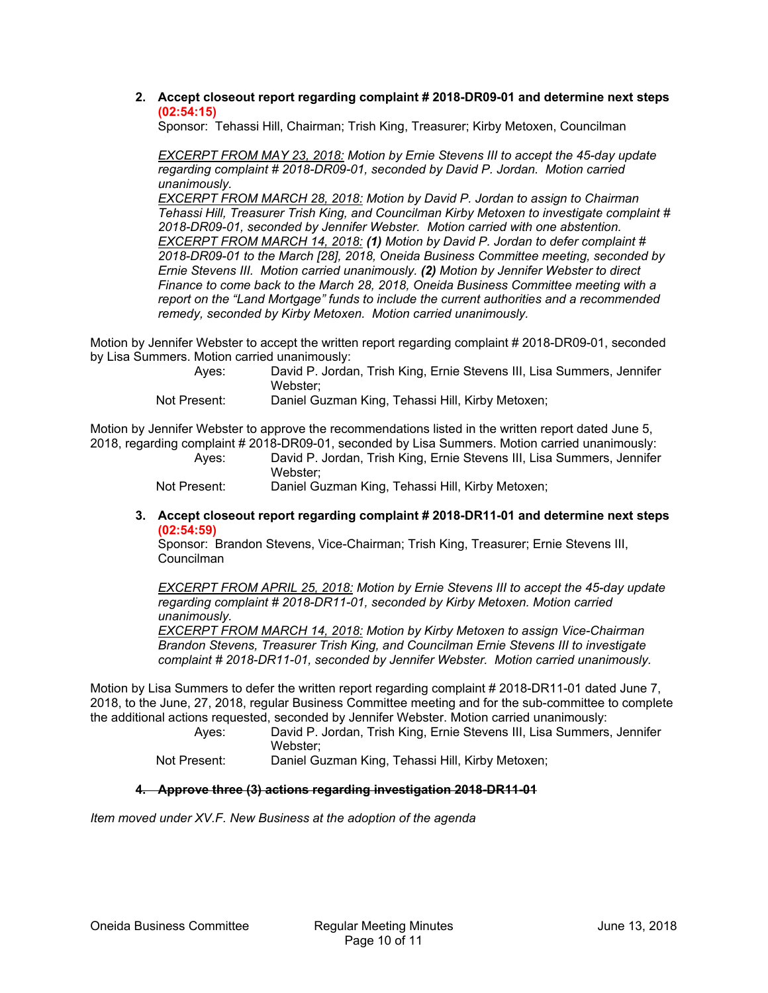**2. Accept closeout report regarding complaint # 2018-DR09-01 and determine next steps (02:54:15)**

Sponsor: Tehassi Hill, Chairman; Trish King, Treasurer; Kirby Metoxen, Councilman

*EXCERPT FROM MAY 23, 2018: Motion by Ernie Stevens III to accept the 45-day update regarding complaint # 2018-DR09-01, seconded by David P. Jordan. Motion carried unanimously.* 

*EXCERPT FROM MARCH 28, 2018: Motion by David P. Jordan to assign to Chairman Tehassi Hill, Treasurer Trish King, and Councilman Kirby Metoxen to investigate complaint # 2018-DR09-01, seconded by Jennifer Webster. Motion carried with one abstention. EXCERPT FROM MARCH 14, 2018: (1) Motion by David P. Jordan to defer complaint # 2018-DR09-01 to the March [28], 2018, Oneida Business Committee meeting, seconded by Ernie Stevens III. Motion carried unanimously. (2) Motion by Jennifer Webster to direct Finance to come back to the March 28, 2018, Oneida Business Committee meeting with a report on the "Land Mortgage" funds to include the current authorities and a recommended remedy, seconded by Kirby Metoxen. Motion carried unanimously.* 

Motion by Jennifer Webster to accept the written report regarding complaint # 2018-DR09-01, seconded by Lisa Summers. Motion carried unanimously:

| Aves:           | David P. Jordan, Trish King, Ernie Stevens III, Lisa Summers, Jennifer |
|-----------------|------------------------------------------------------------------------|
|                 | Webster:                                                               |
| - 1 December 11 | Denial Ourneau 14:000 Tabasai Hill 14:000 Mateusan                     |

Not Present: Daniel Guzman King, Tehassi Hill, Kirby Metoxen;

Motion by Jennifer Webster to approve the recommendations listed in the written report dated June 5, 2018, regarding complaint # 2018-DR09-01, seconded by Lisa Summers. Motion carried unanimously:

Ayes: David P. Jordan, Trish King, Ernie Stevens III, Lisa Summers, Jennifer Webster;

Not Present: Daniel Guzman King, Tehassi Hill, Kirby Metoxen;

**3. Accept closeout report regarding complaint # 2018-DR11-01 and determine next steps (02:54:59)**

Sponsor: Brandon Stevens, Vice-Chairman; Trish King, Treasurer; Ernie Stevens III, Councilman

*EXCERPT FROM APRIL 25, 2018: Motion by Ernie Stevens III to accept the 45-day update regarding complaint # 2018-DR11-01, seconded by Kirby Metoxen. Motion carried unanimously.* 

*EXCERPT FROM MARCH 14, 2018: Motion by Kirby Metoxen to assign Vice-Chairman Brandon Stevens, Treasurer Trish King, and Councilman Ernie Stevens III to investigate complaint # 2018-DR11-01, seconded by Jennifer Webster. Motion carried unanimously.* 

Motion by Lisa Summers to defer the written report regarding complaint # 2018-DR11-01 dated June 7, 2018, to the June, 27, 2018, regular Business Committee meeting and for the sub-committee to complete the additional actions requested, seconded by Jennifer Webster. Motion carried unanimously:

Ayes: David P. Jordan, Trish King, Ernie Stevens III, Lisa Summers, Jennifer Webster;

Not Present: Daniel Guzman King, Tehassi Hill, Kirby Metoxen;

## **4. Approve three (3) actions regarding investigation 2018-DR11-01**

*Item moved under XV.F. New Business at the adoption of the agenda*